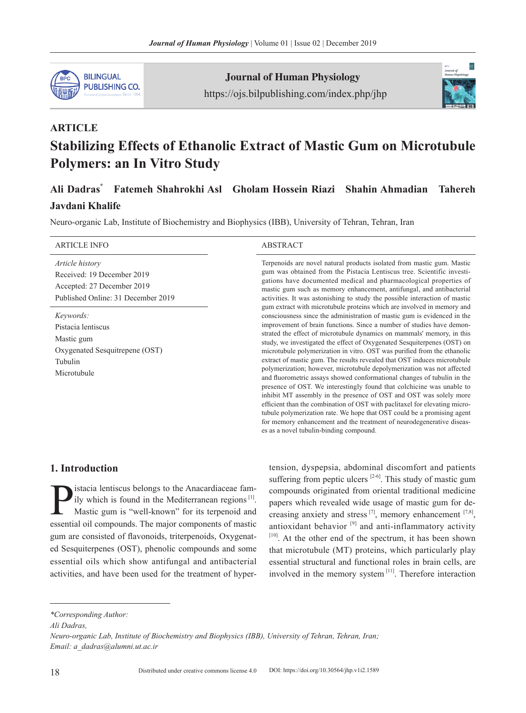

Journal of Human Physiology https://ojs.bilpublishing.com/index.php/jhp



# **ARTICLE Stabilizing Effects of Ethanolic Extract of Mastic Gum on Microtubule Polymers: an In Vitro Study**

## **Ali Dadras**\* **Fatemeh Shahrokhi Asl Gholam Hossein Riazi Shahin Ahmadian Tahereh**

## **Javdani Khalife**

Neuro-organic Lab, Institute of Biochemistry and Biophysics (IBB), University of Tehran, Tehran, Iran

| <b>ARTICLE INFO</b>                                                                                                      | <b>ABSTRACT</b>                                                                                                                                                                                                                                                                                                                                                                                                                                                                                                                                                                                                                                                                                                                                                                                                                                                                                                                                                                                                                                                                                                                                                                                                                                                                                                                                                                                                                                                                                          |
|--------------------------------------------------------------------------------------------------------------------------|----------------------------------------------------------------------------------------------------------------------------------------------------------------------------------------------------------------------------------------------------------------------------------------------------------------------------------------------------------------------------------------------------------------------------------------------------------------------------------------------------------------------------------------------------------------------------------------------------------------------------------------------------------------------------------------------------------------------------------------------------------------------------------------------------------------------------------------------------------------------------------------------------------------------------------------------------------------------------------------------------------------------------------------------------------------------------------------------------------------------------------------------------------------------------------------------------------------------------------------------------------------------------------------------------------------------------------------------------------------------------------------------------------------------------------------------------------------------------------------------------------|
| <i>Article history</i><br>Received: 19 December 2019<br>Accepted: 27 December 2019<br>Published Online: 31 December 2019 | Terpenoids are novel natural products isolated from mastic gum. Mastic<br>gum was obtained from the Pistacia Lentiscus tree. Scientific investi-<br>gations have documented medical and pharmacological properties of<br>mastic gum such as memory enhancement, antifungal, and antibacterial<br>activities. It was astonishing to study the possible interaction of mastic<br>gum extract with microtubule proteins which are involved in memory and<br>consciousness since the administration of mastic gum is evidenced in the<br>improvement of brain functions. Since a number of studies have demon-<br>strated the effect of microtubule dynamics on mammals' memory, in this<br>study, we investigated the effect of Oxygenated Sesquiterpenes (OST) on<br>microtubule polymerization in vitro. OST was purified from the ethanolic<br>extract of mastic gum. The results revealed that OST induces microtubule<br>polymerization; however, microtubule depolymerization was not affected<br>and fluorometric assays showed conformational changes of tubulin in the<br>presence of OST. We interestingly found that colchicine was unable to<br>inhibit MT assembly in the presence of OST and OST was solely more<br>efficient than the combination of OST with paclitaxel for elevating micro-<br>tubule polymerization rate. We hope that OST could be a promising agent<br>for memory enhancement and the treatment of neurodegenerative diseas-<br>es as a novel tubulin-binding compound. |
| Keywords:<br>Pistacia lentiscus<br>Mastic gum<br>Oxygenated Sesquitrepene (OST)<br>Tubulin<br>Microtubule                |                                                                                                                                                                                                                                                                                                                                                                                                                                                                                                                                                                                                                                                                                                                                                                                                                                                                                                                                                                                                                                                                                                                                                                                                                                                                                                                                                                                                                                                                                                          |

## **1. Introduction**

**P** istacia lentiscus belongs to the Anacardiaceae fam-<br>ily which is found in the Mediterranean regions<sup>[1]</sup>.<br>Mastic gum is "well-known" for its terpenoid and<br>essential oil compounds. The major components of mastic ily which is found in the Mediterranean regions  $[1]$ . Mastic gum is "well-known" for its terpenoid and essential oil compounds. The major components of mastic gum are consisted of flavonoids, triterpenoids, Oxygenated Sesquiterpenes (OST), phenolic compounds and some essential oils which show antifungal and antibacterial activities, and have been used for the treatment of hypertension, dyspepsia, abdominal discomfort and patients suffering from peptic ulcers  $[2-6]$ . This study of mastic gum compounds originated from oriental traditional medicine papers which revealed wide usage of mastic gum for decreasing anxiety and stress  $^{[7]}$ , memory enhancement  $^{[7,8]}$ , antioxidant behavior  $[9]$  and anti-inflammatory activity  $[10]$ . At the other end of the spectrum, it has been shown that microtubule (MT) proteins, which particularly play essential structural and functional roles in brain cells, are involved in the memory system [11]. Therefore interaction

*\*Corresponding Author:*

*Ali Dadras,*

*Neuro-organic Lab, Institute of Biochemistry and Biophysics (IBB), University of Tehran, Tehran, Iran; Email: a\_dadras@alumni.ut.ac.ir*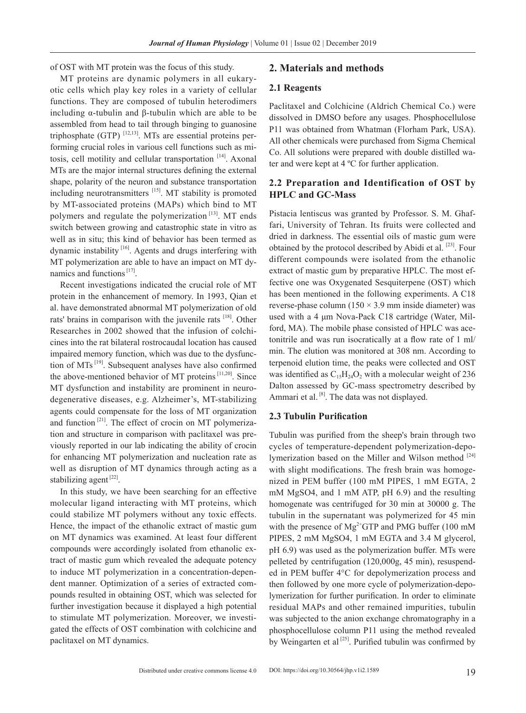of OST with MT protein was the focus of this study.

MT proteins are dynamic polymers in all eukaryotic cells which play key roles in a variety of cellular functions. They are composed of tubulin heterodimers including α-tubulin and β-tubulin which are able to be assembled from head to tail through binging to guanosine triphosphate (GTP)  $^{[12,13]}$ . MTs are essential proteins performing crucial roles in various cell functions such as mitosis, cell motility and cellular transportation [14]. Axonal MTs are the major internal structures defining the external shape, polarity of the neuron and substance transportation including neurotransmitters [15]. MT stability is promoted by MT-associated proteins (MAPs) which bind to MT polymers and regulate the polymerization  $[13]$ . MT ends switch between growing and catastrophic state in vitro as well as in situ; this kind of behavior has been termed as dynamic instability [16]. Agents and drugs interfering with MT polymerization are able to have an impact on MT dynamics and functions<sup>[17]</sup>.

Recent investigations indicated the crucial role of MT protein in the enhancement of memory. In 1993, Qian et al. have demonstrated abnormal MT polymerization of old rats' brains in comparison with the juvenile rats [18]. Other Researches in 2002 showed that the infusion of colchicines into the rat bilateral rostrocaudal location has caused impaired memory function, which was due to the dysfunction of MTs [19]. Subsequent analyses have also confirmed the above-mentioned behavior of MT proteins  $[11,20]$ . Since MT dysfunction and instability are prominent in neurodegenerative diseases, e.g. Alzheimer's, MT-stabilizing agents could compensate for the loss of MT organization and function<sup> $[21]$ </sup>. The effect of crocin on MT polymerization and structure in comparison with paclitaxel was previously reported in our lab indicating the ability of crocin for enhancing MT polymerization and nucleation rate as well as disruption of MT dynamics through acting as a stabilizing agent $^{[22]}$ .

In this study, we have been searching for an effective molecular ligand interacting with MT proteins, which could stabilize MT polymers without any toxic effects. Hence, the impact of the ethanolic extract of mastic gum on MT dynamics was examined. At least four different compounds were accordingly isolated from ethanolic extract of mastic gum which revealed the adequate potency to induce MT polymerization in a concentration-dependent manner. Optimization of a series of extracted compounds resulted in obtaining OST, which was selected for further investigation because it displayed a high potential to stimulate MT polymerization. Moreover, we investigated the effects of OST combination with colchicine and paclitaxel on MT dynamics.

#### **2. Materials and methods**

#### **2.1 Reagents**

Paclitaxel and Colchicine (Aldrich Chemical Co.) were dissolved in DMSO before any usages. Phosphocellulose P11 was obtained from Whatman (Florham Park, USA). All other chemicals were purchased from Sigma Chemical Co. All solutions were prepared with double distilled water and were kept at 4 ºC for further application.

#### **2.2 Preparation and Identification of OST by HPLC and GC-Mass**

Pistacia lentiscus was granted by Professor. S. M. Ghaffari, University of Tehran. Its fruits were collected and dried in darkness. The essential oils of mastic gum were obtained by the protocol described by Abidi et al. <sup>[23]</sup>. Four different compounds were isolated from the ethanolic extract of mastic gum by preparative HPLC. The most effective one was Oxygenated Sesquiterpene (OST) which has been mentioned in the following experiments. A C18 reverse-phase column  $(150 \times 3.9 \text{ mm} \text{ inside diameter})$  was used with a 4 μm Nova-Pack C18 cartridge (Water, Milford, MA). The mobile phase consisted of HPLC was acetonitrile and was run isocratically at a flow rate of 1 ml/ min. The elution was monitored at 308 nm. According to terpenoid elution time, the peaks were collected and OST was identified as  $C_1$ <sub>5</sub>H<sub>24</sub>O<sub>2</sub> with a molecular weight of 236 Dalton assessed by GC-mass spectrometry described by Ammari et al.  $[8]$ . The data was not displayed.

#### **2.3 Tubulin Purification**

Tubulin was purified from the sheep's brain through two cycles of temperature-dependent polymerization-depolymerization based on the Miller and Wilson method  $[24]$ with slight modifications. The fresh brain was homogenized in PEM buffer (100 mM PIPES, 1 mM EGTA, 2 mM MgSO4, and 1 mM ATP, pH 6.9) and the resulting homogenate was centrifuged for 30 min at 30000 g. The tubulin in the supernatant was polymerized for 45 min with the presence of  $Mg^{2+}GTP$  and PMG buffer (100 mM PIPES, 2 mM MgSO4, 1 mM EGTA and 3.4 M glycerol, pH 6.9) was used as the polymerization buffer. MTs were pelleted by centrifugation (120,000g, 45 min), resuspended in PEM buffer 4°C for depolymerization process and then followed by one more cycle of polymerization-depolymerization for further purification. In order to eliminate residual MAPs and other remained impurities, tubulin was subjected to the anion exchange chromatography in a phosphocellulose column P11 using the method revealed by Weingarten et al<sup>[25]</sup>. Purified tubulin was confirmed by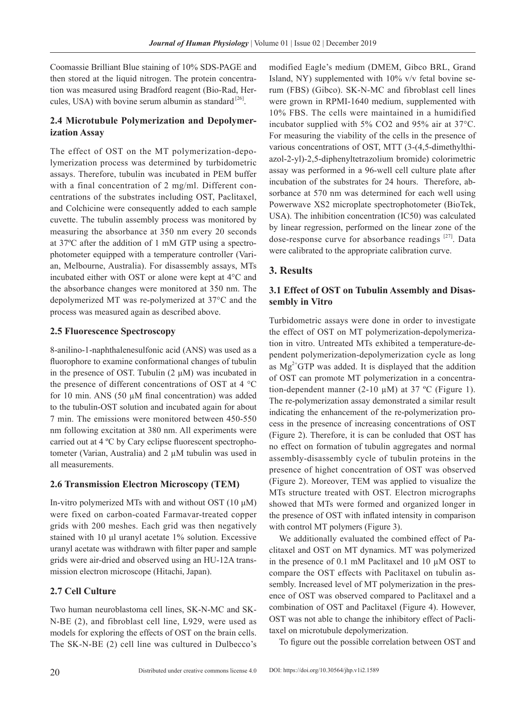Coomassie Brilliant Blue staining of 10% SDS-PAGE and then stored at the liquid nitrogen. The protein concentration was measured using Bradford reagent (Bio-Rad, Hercules, USA) with bovine serum albumin as standard  $[26]$ .

## **2.4 Microtubule Polymerization and Depolymerization Assay**

The effect of OST on the MT polymerization-depolymerization process was determined by turbidometric assays. Therefore, tubulin was incubated in PEM buffer with a final concentration of 2 mg/ml. Different concentrations of the substrates including OST, Paclitaxel, and Colchicine were consequently added to each sample cuvette. The tubulin assembly process was monitored by measuring the absorbance at 350 nm every 20 seconds at 37ºC after the addition of 1 mM GTP using a spectrophotometer equipped with a temperature controller (Varian, Melbourne, Australia). For disassembly assays, MTs incubated either with OST or alone were kept at 4°C and the absorbance changes were monitored at 350 nm. The depolymerized MT was re-polymerized at 37°C and the process was measured again as described above.

#### **2.5 Fluorescence Spectroscopy**

8-anilino-1-naphthalenesulfonic acid (ANS) was used as a fluorophore to examine conformational changes of tubulin in the presence of OST. Tubulin  $(2 \mu M)$  was incubated in the presence of different concentrations of OST at 4 °C for 10 min. ANS (50  $\mu$ M final concentration) was added to the tubulin-OST solution and incubated again for about 7 min. The emissions were monitored between 450-550 nm following excitation at 380 nm. All experiments were carried out at 4 ºC by Cary eclipse fluorescent spectrophotometer (Varian, Australia) and 2 µM tubulin was used in all measurements.

#### **2.6 Transmission Electron Microscopy (TEM)**

In-vitro polymerized MTs with and without OST (10 μM) were fixed on carbon-coated Farmavar-treated copper grids with 200 meshes. Each grid was then negatively stained with 10 μl uranyl acetate 1% solution. Excessive uranyl acetate was withdrawn with filter paper and sample grids were air-dried and observed using an HU-12A transmission electron microscope (Hitachi, Japan).

#### **2.7 Cell Culture**

Two human neuroblastoma cell lines, SK-N-MC and SK-N-BE (2), and fibroblast cell line, L929, were used as models for exploring the effects of OST on the brain cells. The SK-N-BE (2) cell line was cultured in Dulbecco's

modified Eagle's medium (DMEM, Gibco BRL, Grand Island, NY) supplemented with 10% v/v fetal bovine serum (FBS) (Gibco). SK-N-MC and fibroblast cell lines were grown in RPMI-1640 medium, supplemented with 10% FBS. The cells were maintained in a humidified incubator supplied with 5% CO2 and 95% air at 37°C. For measuring the viability of the cells in the presence of various concentrations of OST, MTT (3-(4,5-dimethylthiazol-2-yl)-2,5-diphenyltetrazolium bromide) colorimetric assay was performed in a 96-well cell culture plate after incubation of the substrates for 24 hours. Therefore, absorbance at 570 nm was determined for each well using Powerwave XS2 microplate spectrophotometer (BioTek, USA). The inhibition concentration (IC50) was calculated by linear regression, performed on the linear zone of the dose-response curve for absorbance readings [27]. Data were calibrated to the appropriate calibration curve.

#### **3. Results**

#### **3.1 Effect of OST on Tubulin Assembly and Disassembly in Vitro**

Turbidometric assays were done in order to investigate the effect of OST on MT polymerization-depolymerization in vitro. Untreated MTs exhibited a temperature-dependent polymerization-depolymerization cycle as long as  $Mg^{2+}GTP$  was added. It is displayed that the addition of OST can promote MT polymerization in a concentration-dependent manner  $(2-10 \mu M)$  at 37 °C (Figure 1). The re-polymerization assay demonstrated a similar result indicating the enhancement of the re-polymerization process in the presence of increasing concentrations of OST (Figure 2). Therefore, it is can be conluded that OST has no effect on formation of tubulin aggregates and normal assembly-disassembly cycle of tubulin proteins in the presence of highet concentration of OST was observed (Figure 2). Moreover, TEM was applied to visualize the MTs structure treated with OST. Electron micrographs showed that MTs were formed and organized longer in the presence of OST with inflated intensity in comparison with control MT polymers (Figure 3).

We additionally evaluated the combined effect of Paclitaxel and OST on MT dynamics. MT was polymerized in the presence of 0.1 mM Paclitaxel and 10 µM OST to compare the OST effects with Paclitaxel on tubulin assembly. Increased level of MT polymerization in the presence of OST was observed compared to Paclitaxel and a combination of OST and Paclitaxel (Figure 4). However, OST was not able to change the inhibitory effect of Paclitaxel on microtubule depolymerization.

To figure out the possible correlation between OST and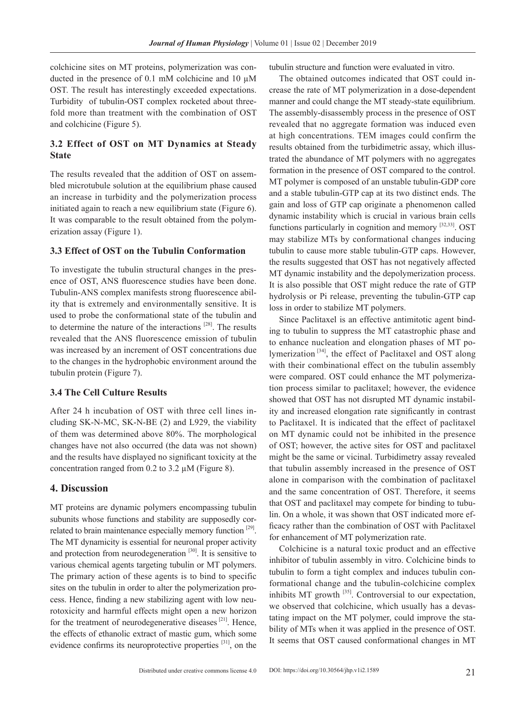colchicine sites on MT proteins, polymerization was conducted in the presence of 0.1 mM colchicine and 10 µM OST. The result has interestingly exceeded expectations. Turbidity of tubulin-OST complex rocketed about threefold more than treatment with the combination of OST and colchicine (Figure 5).

## **3.2 Effect of OST on MT Dynamics at Steady State**

The results revealed that the addition of OST on assembled microtubule solution at the equilibrium phase caused an increase in turbidity and the polymerization process initiated again to reach a new equilibrium state (Figure 6). It was comparable to the result obtained from the polymerization assay (Figure 1).

#### **3.3 Effect of OST on the Tubulin Conformation**

To investigate the tubulin structural changes in the presence of OST, ANS fluorescence studies have been done. Tubulin-ANS complex manifests strong fluorescence ability that is extremely and environmentally sensitive. It is used to probe the conformational state of the tubulin and to determine the nature of the interactions [28]. The results revealed that the ANS fluorescence emission of tubulin was increased by an increment of OST concentrations due to the changes in the hydrophobic environment around the tubulin protein (Figure 7).

#### **3.4 The Cell Culture Results**

After 24 h incubation of OST with three cell lines including SK-N-MC, SK-N-BE (2) and L929, the viability of them was determined above 80%. The morphological changes have not also occurred (the data was not shown) and the results have displayed no significant toxicity at the concentration ranged from 0.2 to 3.2  $\mu$ M (Figure 8).

#### **4. Discussion**

MT proteins are dynamic polymers encompassing tubulin subunits whose functions and stability are supposedly correlated to brain maintenance especially memory function [29]. The MT dynamicity is essential for neuronal proper activity and protection from neurodegeneration <sup>[30]</sup>. It is sensitive to various chemical agents targeting tubulin or MT polymers. The primary action of these agents is to bind to specific sites on the tubulin in order to alter the polymerization process. Hence, finding a new stabilizing agent with low neurotoxicity and harmful effects might open a new horizon for the treatment of neurodegenerative diseases<sup>[21]</sup>. Hence, the effects of ethanolic extract of mastic gum, which some evidence confirms its neuroprotective properties  $[31]$ , on the tubulin structure and function were evaluated in vitro.

The obtained outcomes indicated that OST could increase the rate of MT polymerization in a dose-dependent manner and could change the MT steady-state equilibrium. The assembly-disassembly process in the presence of OST revealed that no aggregate formation was induced even at high concentrations. TEM images could confirm the results obtained from the turbidimetric assay, which illustrated the abundance of MT polymers with no aggregates formation in the presence of OST compared to the control. MT polymer is composed of an unstable tubulin-GDP core and a stable tubulin-GTP cap at its two distinct ends. The gain and loss of GTP cap originate a phenomenon called dynamic instability which is crucial in various brain cells functions particularly in cognition and memory [32,33]. OST may stabilize MTs by conformational changes inducing tubulin to cause more stable tubulin-GTP caps. However, the results suggested that OST has not negatively affected MT dynamic instability and the depolymerization process. It is also possible that OST might reduce the rate of GTP hydrolysis or Pi release, preventing the tubulin-GTP cap loss in order to stabilize MT polymers.

Since Paclitaxel is an effective antimitotic agent binding to tubulin to suppress the MT catastrophic phase and to enhance nucleation and elongation phases of MT polymerization [34], the effect of Paclitaxel and OST along with their combinational effect on the tubulin assembly were compared. OST could enhance the MT polymerization process similar to paclitaxel; however, the evidence showed that OST has not disrupted MT dynamic instability and increased elongation rate significantly in contrast to Paclitaxel. It is indicated that the effect of paclitaxel on MT dynamic could not be inhibited in the presence of OST; however, the active sites for OST and paclitaxel might be the same or vicinal. Turbidimetry assay revealed that tubulin assembly increased in the presence of OST alone in comparison with the combination of paclitaxel and the same concentration of OST. Therefore, it seems that OST and paclitaxel may compete for binding to tubulin. On a whole, it was shown that OST indicated more efficacy rather than the combination of OST with Paclitaxel for enhancement of MT polymerization rate.

Colchicine is a natural toxic product and an effective inhibitor of tubulin assembly in vitro. Colchicine binds to tubulin to form a tight complex and induces tubulin conformational change and the tubulin-colchicine complex inhibits MT growth [35]. Controversial to our expectation, we observed that colchicine, which usually has a devastating impact on the MT polymer, could improve the stability of MTs when it was applied in the presence of OST. It seems that OST caused conformational changes in MT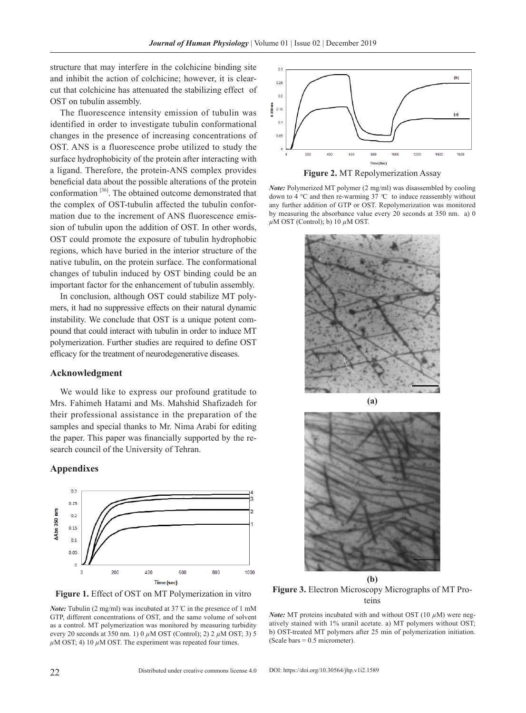structure that may interfere in the colchicine binding site and inhibit the action of colchicine; however, it is clearcut that colchicine has attenuated the stabilizing effect of OST on tubulin assembly.

The fluorescence intensity emission of tubulin was identified in order to investigate tubulin conformational changes in the presence of increasing concentrations of OST. ANS is a fluorescence probe utilized to study the surface hydrophobicity of the protein after interacting with a ligand. Therefore, the protein-ANS complex provides beneficial data about the possible alterations of the protein conformation  $[36]$ . The obtained outcome demonstrated that the complex of OST-tubulin affected the tubulin conformation due to the increment of ANS fluorescence emission of tubulin upon the addition of OST. In other words, OST could promote the exposure of tubulin hydrophobic regions, which have buried in the interior structure of the native tubulin, on the protein surface. The conformational changes of tubulin induced by OST binding could be an important factor for the enhancement of tubulin assembly.

In conclusion, although OST could stabilize MT polymers, it had no suppressive effects on their natural dynamic instability. We conclude that OST is a unique potent compound that could interact with tubulin in order to induce MT polymerization. Further studies are required to define OST efficacy for the treatment of neurodegenerative diseases.

#### **Acknowledgment**

We would like to express our profound gratitude to Mrs. Fahimeh Hatami and Ms. Mahshid Shafizadeh for their professional assistance in the preparation of the samples and special thanks to Mr. Nima Arabi for editing the paper. This paper was financially supported by the research council of the University of Tehran.

#### **Appendixes**



**Figure 1.** Effect of OST on MT Polymerization in vitro

*Note:* Tubulin (2 mg/ml) was incubated at 37<sup>°</sup>C in the presence of 1 mM GTP, different concentrations of OST, and the same volume of solvent as a control. MT polymerization was monitored by measuring turbidity every 20 seconds at 350 nm. 1) 0 *µ*M OST (Control); 2) 2 *µ*M OST; 3) 5 *µ*M OST; 4) 10 *µ*M OST. The experiment was repeated four times.



**Figure 2.** MT Repolymerization Assay

*Note:* Polymerized MT polymer (2 mg/ml) was disassembled by cooling down to 4 °C and then re-warming 37 *º*C to induce reassembly without any further addition of GTP or OST. Repolymerization was monitored by measuring the absorbance value every 20 seconds at 350 nm. a) 0 *µ*M OST (Control); b) 10 *µ*M OST.





**(b) Figure 3.** Electron Microscopy Micrographs of MT Proteins

*Note:* MT proteins incubated with and without OST (10 *µ*M) were negatively stained with 1% uranil acetate. a) MT polymers without OST; b) OST-treated MT polymers after 25 min of polymerization initiation. (Scale bars  $= 0.5$  micrometer).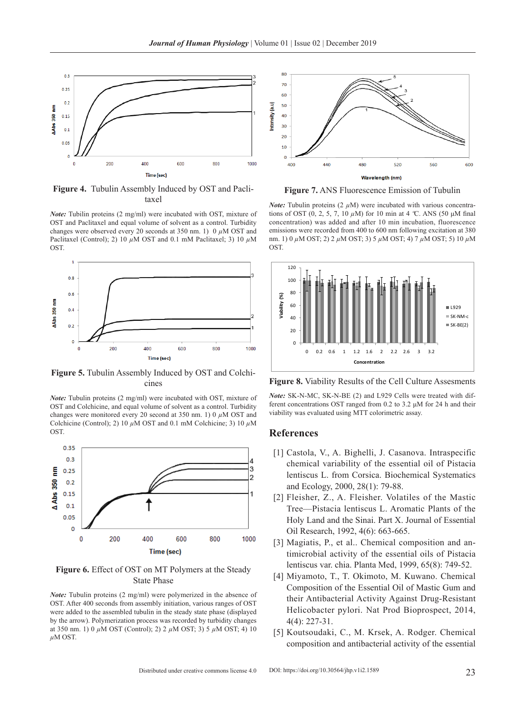

**Figure 4.** Tubulin Assembly Induced by OST and Paclitaxel

*Note:* Tubilin proteins (2 mg/ml) were incubated with OST, mixture of OST and Paclitaxel and equal volume of solvent as a control. Turbidity changes were observed every 20 seconds at 350 nm. 1) 0 *µ*M OST and Paclitaxel (Control); 2) 10 *µ*M OST and 0.1 mM Paclitaxel; 3) 10 *µ*M OST.



**Figure 5.** Tubulin Assembly Induced by OST and Colchicines

*Note:* Tubulin proteins (2 mg/ml) were incubated with OST, mixture of OST and Colchicine, and equal volume of solvent as a control. Turbidity changes were monitored every 20 second at 350 nm. 1) 0 *µ*M OST and Colchicine (Control); 2) 10  $\mu$ M OST and 0.1 mM Colchicine; 3) 10  $\mu$ M OST.



**Figure 6.** Effect of OST on MT Polymers at the Steady State Phase

*Note:* Tubulin proteins (2 mg/ml) were polymerized in the absence of OST. After 400 seconds from assembly initiation, various ranges of OST were added to the assembled tubulin in the steady state phase (displayed by the arrow). Polymerization process was recorded by turbidity changes at 350 nm. 1) 0 *µ*M OST (Control); 2) 2 *µ*M OST; 3) 5 *µ*M OST; 4) 10 *µ*M OST.



**Figure 7.** ANS Fluorescence Emission of Tubulin

*Note:* Tubulin proteins  $(2 \mu M)$  were incubated with various concentrations of OST (0, 2, 5, 7, 10 *µ*M) for 10 min at 4 *º*C. ANS (50 μM final concentration) was added and after 10 min incubation, fluorescence emissions were recorded from 400 to 600 nm following excitation at 380 nm. 1) 0 *µ*M OST; 2) 2 *µ*M OST; 3) 5 *µ*M OST; 4) 7 *µ*M OST; 5) 10 *µ*M OST.



**Figure 8.** Viability Results of the Cell Culture Assesments

*Note:* SK-N-MC, SK-N-BE (2) and L929 Cells were treated with different concentrations OST ranged from 0.2 to 3.2 μM for 24 h and their viability was evaluated using MTT colorimetric assay.

#### **References**

- [1] Castola, V., A. Bighelli, J. Casanova. Intraspecific chemical variability of the essential oil of Pistacia lentiscus L. from Corsica. Biochemical Systematics and Ecology, 2000, 28(1): 79-88.
- [2] Fleisher, Z., A. Fleisher. Volatiles of the Mastic Tree—Pistacia lentiscus L. Aromatic Plants of the Holy Land and the Sinai. Part X. Journal of Essential Oil Research, 1992, 4(6): 663-665.
- [3] Magiatis, P., et al.. Chemical composition and antimicrobial activity of the essential oils of Pistacia lentiscus var. chia. Planta Med, 1999, 65(8): 749-52.
- [4] Miyamoto, T., T. Okimoto, M. Kuwano. Chemical Composition of the Essential Oil of Mastic Gum and their Antibacterial Activity Against Drug-Resistant Helicobacter pylori. Nat Prod Bioprospect, 2014, 4(4): 227-31.
- [5] Koutsoudaki, C., M. Krsek, A. Rodger. Chemical composition and antibacterial activity of the essential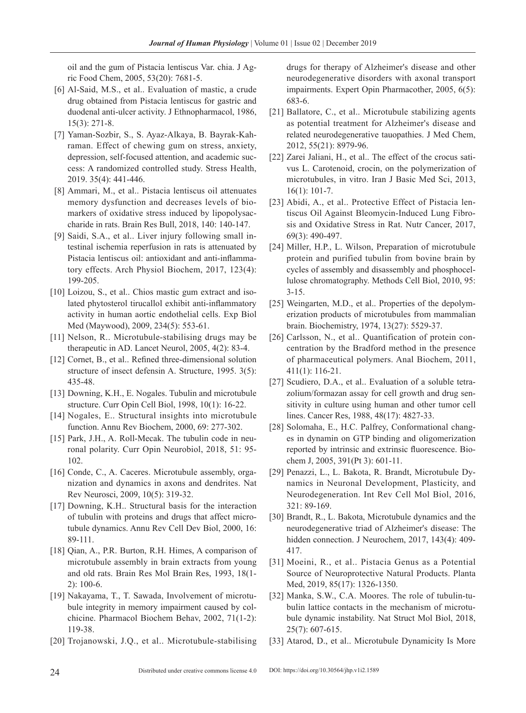oil and the gum of Pistacia lentiscus Var. chia. J Agric Food Chem, 2005, 53(20): 7681-5.

- [6] Al-Said, M.S., et al.. Evaluation of mastic, a crude drug obtained from Pistacia lentiscus for gastric and duodenal anti-ulcer activity. J Ethnopharmacol, 1986, 15(3): 271-8.
- [7] Yaman-Sozbir, S., S. Ayaz-Alkaya, B. Bayrak-Kahraman. Effect of chewing gum on stress, anxiety, depression, self-focused attention, and academic success: A randomized controlled study. Stress Health, 2019. 35(4): 441-446.
- [8] Ammari, M., et al.. Pistacia lentiscus oil attenuates memory dysfunction and decreases levels of biomarkers of oxidative stress induced by lipopolysaccharide in rats. Brain Res Bull, 2018, 140: 140-147.
- [9] Saidi, S.A., et al.. Liver injury following small intestinal ischemia reperfusion in rats is attenuated by Pistacia lentiscus oil: antioxidant and anti-inflammatory effects. Arch Physiol Biochem, 2017, 123(4): 199-205.
- [10] Loizou, S., et al.. Chios mastic gum extract and isolated phytosterol tirucallol exhibit anti-inflammatory activity in human aortic endothelial cells. Exp Biol Med (Maywood), 2009, 234(5): 553-61.
- [11] Nelson, R.. Microtubule-stabilising drugs may be therapeutic in AD. Lancet Neurol, 2005, 4(2): 83-4.
- [12] Cornet, B., et al.. Refined three-dimensional solution structure of insect defensin A. Structure, 1995. 3(5): 435-48.
- [13] Downing, K.H., E. Nogales. Tubulin and microtubule structure. Curr Opin Cell Biol, 1998, 10(1): 16-22.
- [14] Nogales, E.. Structural insights into microtubule function. Annu Rev Biochem, 2000, 69: 277-302.
- [15] Park, J.H., A. Roll-Mecak. The tubulin code in neuronal polarity. Curr Opin Neurobiol, 2018, 51: 95- 102.
- [16] Conde, C., A. Caceres. Microtubule assembly, organization and dynamics in axons and dendrites. Nat Rev Neurosci, 2009, 10(5): 319-32.
- [17] Downing, K.H.. Structural basis for the interaction of tubulin with proteins and drugs that affect microtubule dynamics. Annu Rev Cell Dev Biol, 2000, 16: 89-111.
- [18] Qian, A., P.R. Burton, R.H. Himes, A comparison of microtubule assembly in brain extracts from young and old rats. Brain Res Mol Brain Res, 1993, 18(1- 2): 100-6.
- [19] Nakayama, T., T. Sawada, Involvement of microtubule integrity in memory impairment caused by colchicine. Pharmacol Biochem Behav, 2002, 71(1-2): 119-38.
- [20] Trojanowski, J.Q., et al.. Microtubule-stabilising

drugs for therapy of Alzheimer's disease and other neurodegenerative disorders with axonal transport impairments. Expert Opin Pharmacother, 2005, 6(5): 683-6.

- [21] Ballatore, C., et al.. Microtubule stabilizing agents as potential treatment for Alzheimer's disease and related neurodegenerative tauopathies. J Med Chem, 2012, 55(21): 8979-96.
- [22] Zarei Jaliani, H., et al.. The effect of the crocus sativus L. Carotenoid, crocin, on the polymerization of microtubules, in vitro. Iran J Basic Med Sci, 2013, 16(1): 101-7.
- [23] Abidi, A., et al.. Protective Effect of Pistacia lentiscus Oil Against Bleomycin-Induced Lung Fibrosis and Oxidative Stress in Rat. Nutr Cancer, 2017, 69(3): 490-497.
- [24] Miller, H.P., L. Wilson, Preparation of microtubule protein and purified tubulin from bovine brain by cycles of assembly and disassembly and phosphocellulose chromatography. Methods Cell Biol, 2010, 95: 3-15.
- [25] Weingarten, M.D., et al.. Properties of the depolymerization products of microtubules from mammalian brain. Biochemistry, 1974, 13(27): 5529-37.
- [26] Carlsson, N., et al.. Quantification of protein concentration by the Bradford method in the presence of pharmaceutical polymers. Anal Biochem, 2011, 411(1): 116-21.
- [27] Scudiero, D.A., et al.. Evaluation of a soluble tetrazolium/formazan assay for cell growth and drug sensitivity in culture using human and other tumor cell lines. Cancer Res, 1988, 48(17): 4827-33.
- [28] Solomaha, E., H.C. Palfrey, Conformational changes in dynamin on GTP binding and oligomerization reported by intrinsic and extrinsic fluorescence. Biochem J, 2005, 391(Pt 3): 601-11.
- [29] Penazzi, L., L. Bakota, R. Brandt, Microtubule Dynamics in Neuronal Development, Plasticity, and Neurodegeneration. Int Rev Cell Mol Biol, 2016, 321: 89-169.
- [30] Brandt, R., L. Bakota, Microtubule dynamics and the neurodegenerative triad of Alzheimer's disease: The hidden connection. J Neurochem, 2017, 143(4): 409- 417.
- [31] Moeini, R., et al.. Pistacia Genus as a Potential Source of Neuroprotective Natural Products. Planta Med, 2019, 85(17): 1326-1350.
- [32] Manka, S.W., C.A. Moores. The role of tubulin-tubulin lattice contacts in the mechanism of microtubule dynamic instability. Nat Struct Mol Biol, 2018, 25(7): 607-615.
- [33] Atarod, D., et al.. Microtubule Dynamicity Is More